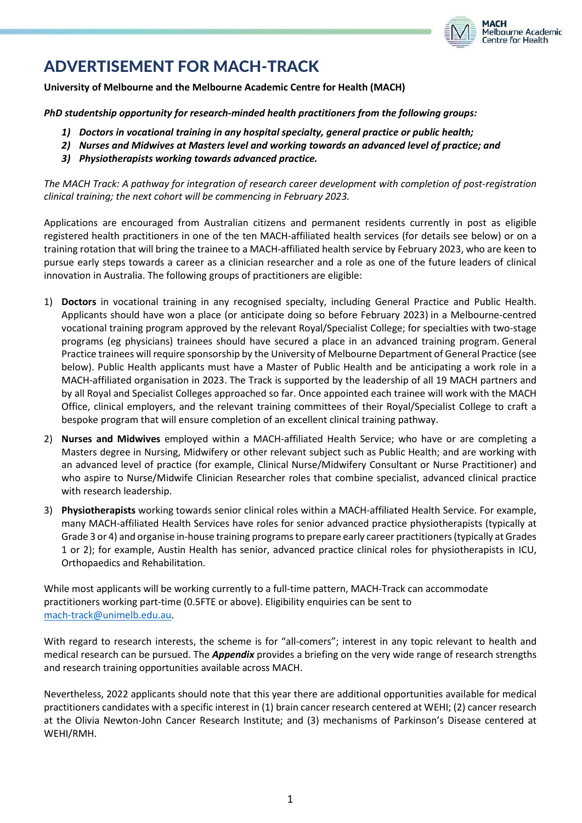

# ADVERTISEMENT FOR MACH-TRACK

**University of Melbourne and the Melbourne Academic Centre for Health (MACH)**

*PhD studentship opportunity for research-minded health practitioners from the following groups:* 

- *1) Doctors in vocational training in any hospital specialty, general practice or public health;*
- *2) Nurses and Midwives at Masters level and working towards an advanced level of practice; and*
- *3) Physiotherapists working towards advanced practice.*

*The MACH Track: A pathway for integration of research career development with completion of post-registration clinical training; the next cohort will be commencing in February 2023.*

Applications are encouraged from Australian citizens and permanent residents currently in post as eligible registered health practitioners in one of the ten MACH-affiliated health services (for details see below) or on a training rotation that will bring the trainee to a MACH-affiliated health service by February 2023, who are keen to pursue early steps towards a career as a clinician researcher and a role as one of the future leaders of clinical innovation in Australia. The following groups of practitioners are eligible:

- 1) **Doctors** in vocational training in any recognised specialty, including General Practice and Public Health. Applicants should have won a place (or anticipate doing so before February 2023) in a Melbourne-centred vocational training program approved by the relevant Royal/Specialist College; for specialties with two-stage programs (eg physicians) trainees should have secured a place in an advanced training program. General Practice trainees will require sponsorship by the University of Melbourne Department of General Practice (see below). Public Health applicants must have a Master of Public Health and be anticipating a work role in a MACH-affiliated organisation in 2023. The Track is supported by the leadership of all 19 MACH partners and by all Royal and Specialist Colleges approached so far. Once appointed each trainee will work with the MACH Office, clinical employers, and the relevant training committees of their Royal/Specialist College to craft a bespoke program that will ensure completion of an excellent clinical training pathway.
- 2) **Nurses and Midwives** employed within a MACH-affiliated Health Service; who have or are completing a Masters degree in Nursing, Midwifery or other relevant subject such as Public Health; and are working with an advanced level of practice (for example, Clinical Nurse/Midwifery Consultant or Nurse Practitioner) and who aspire to Nurse/Midwife Clinician Researcher roles that combine specialist, advanced clinical practice with research leadership.
- 3) **Physiotherapists** working towards senior clinical roles within a MACH-affiliated Health Service. For example, many MACH-affiliated Health Services have roles for senior advanced practice physiotherapists (typically at Grade 3 or 4) and organise in-house training programs to prepare early career practitioners (typically at Grades 1 or 2); for example, Austin Health has senior, advanced practice clinical roles for physiotherapists in ICU, Orthopaedics and Rehabilitation.

While most applicants will be working currently to a full-time pattern, MACH-Track can accommodate practitioners working part-time (0.5FTE or above). Eligibility enquiries can be sent to [mach-track@unimelb.edu.au.](mailto:mach-track@unimelb.edu.au)

With regard to research interests, the scheme is for "all-comers"; interest in any topic relevant to health and medical research can be pursued. The *Appendix* provides a briefing on the very wide range of research strengths and research training opportunities available across MACH.

Nevertheless, 2022 applicants should note that this year there are additional opportunities available for medical practitioners candidates with a specific interest in (1) brain cancer research centered at WEHI; (2) cancer research at the Olivia Newton-John Cancer Research Institute; and (3) mechanisms of Parkinson's Disease centered at WEHI/RMH.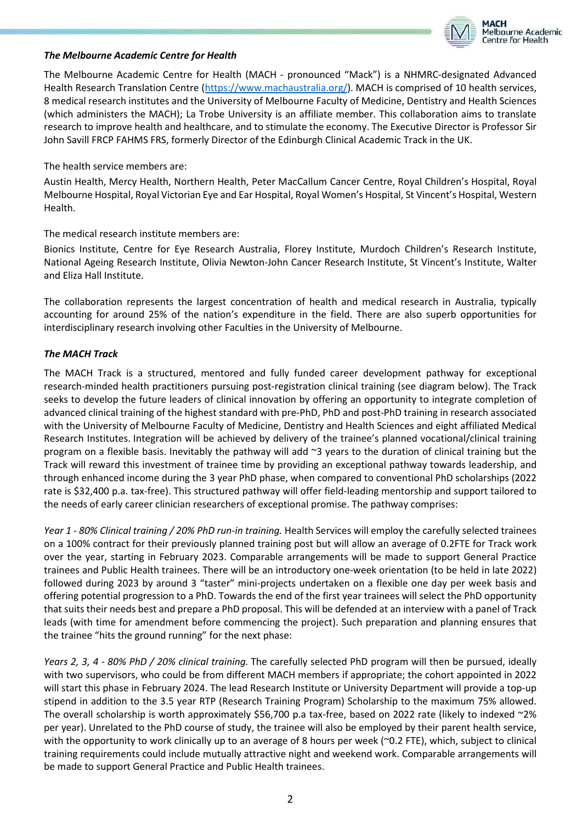

#### *The Melbourne Academic Centre for Health*

The Melbourne Academic Centre for Health (MACH - pronounced "Mack") is a NHMRC-designated Advanced Health Research Translation Centre [\(https://www.machaustralia.org/\)](https://www.machaustralia.org/). MACH is comprised of 10 health services, 8 medical research institutes and the University of Melbourne Faculty of Medicine, Dentistry and Health Sciences (which administers the MACH); La Trobe University is an affiliate member. This collaboration aims to translate research to improve health and healthcare, and to stimulate the economy. The Executive Director is Professor Sir John Savill FRCP FAHMS FRS, formerly Director of the Edinburgh Clinical Academic Track in the UK.

#### The health service members are:

Austin Health, Mercy Health, Northern Health, Peter MacCallum Cancer Centre, Royal Children's Hospital, Royal Melbourne Hospital, Royal Victorian Eye and Ear Hospital, Royal Women's Hospital, St Vincent's Hospital, Western Health.

### The medical research institute members are:

Bionics Institute, Centre for Eye Research Australia, Florey Institute, Murdoch Children's Research Institute, National Ageing Research Institute, Olivia Newton-John Cancer Research Institute, St Vincent's Institute, Walter and Eliza Hall Institute.

The collaboration represents the largest concentration of health and medical research in Australia, typically accounting for around 25% of the nation's expenditure in the field. There are also superb opportunities for interdisciplinary research involving other Faculties in the University of Melbourne.

# *The MACH Track*

The MACH Track is a structured, mentored and fully funded career development pathway for exceptional research-minded health practitioners pursuing post-registration clinical training (see diagram below). The Track seeks to develop the future leaders of clinical innovation by offering an opportunity to integrate completion of advanced clinical training of the highest standard with pre-PhD, PhD and post-PhD training in research associated with the University of Melbourne Faculty of Medicine, Dentistry and Health Sciences and eight affiliated Medical Research Institutes. Integration will be achieved by delivery of the trainee's planned vocational/clinical training program on a flexible basis. Inevitably the pathway will add ~3 years to the duration of clinical training but the Track will reward this investment of trainee time by providing an exceptional pathway towards leadership, and through enhanced income during the 3 year PhD phase, when compared to conventional PhD scholarships (2022 rate is \$32,400 p.a. tax-free). This structured pathway will offer field-leading mentorship and support tailored to the needs of early career clinician researchers of exceptional promise. The pathway comprises:

*Year 1 - 80% Clinical training / 20% PhD run-in training.* Health Services will employ the carefully selected trainees on a 100% contract for their previously planned training post but will allow an average of 0.2FTE for Track work over the year, starting in February 2023. Comparable arrangements will be made to support General Practice trainees and Public Health trainees. There will be an introductory one-week orientation (to be held in late 2022) followed during 2023 by around 3 "taster" mini-projects undertaken on a flexible one day per week basis and offering potential progression to a PhD. Towards the end of the first year trainees will select the PhD opportunity that suits their needs best and prepare a PhD proposal. This will be defended at an interview with a panel of Track leads (with time for amendment before commencing the project). Such preparation and planning ensures that the trainee "hits the ground running" for the next phase:

*Years 2, 3, 4 - 80% PhD / 20% clinical training.* The carefully selected PhD program will then be pursued, ideally with two supervisors, who could be from different MACH members if appropriate; the cohort appointed in 2022 will start this phase in February 2024. The lead Research Institute or University Department will provide a top-up stipend in addition to the 3.5 year RTP (Research Training Program) Scholarship to the maximum 75% allowed. The overall scholarship is worth approximately \$56,700 p.a tax-free, based on 2022 rate (likely to indexed  $2\%$ per year). Unrelated to the PhD course of study, the trainee will also be employed by their parent health service, with the opportunity to work clinically up to an average of 8 hours per week (~0.2 FTE), which, subject to clinical training requirements could include mutually attractive night and weekend work. Comparable arrangements will be made to support General Practice and Public Health trainees.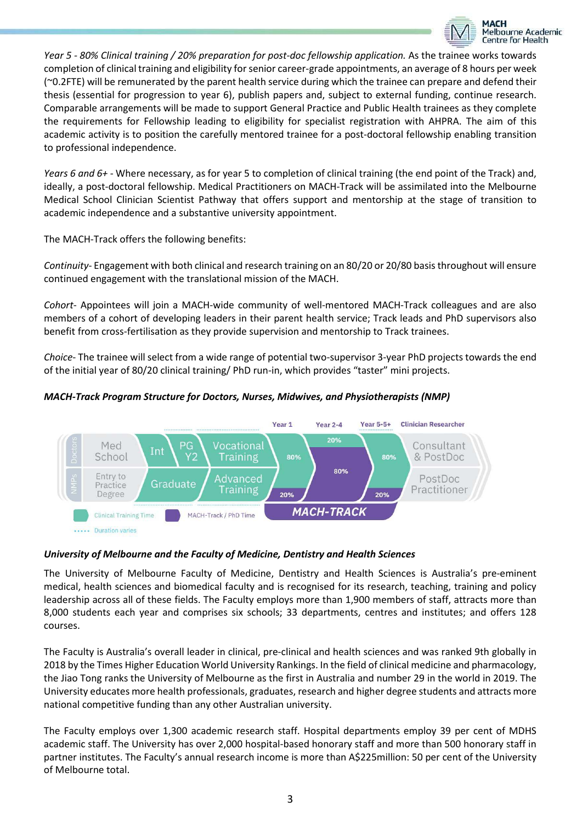

*Year 5 - 80% Clinical training / 20% preparation for post-doc fellowship application.* As the trainee works towards completion of clinical training and eligibility for senior career-grade appointments, an average of 8 hours per week (~0.2FTE) will be remunerated by the parent health service during which the trainee can prepare and defend their thesis (essential for progression to year 6), publish papers and, subject to external funding, continue research. Comparable arrangements will be made to support General Practice and Public Health trainees as they complete the requirements for Fellowship leading to eligibility for specialist registration with AHPRA. The aim of this academic activity is to position the carefully mentored trainee for a post-doctoral fellowship enabling transition to professional independence.

*Years 6 and 6+* - Where necessary, as for year 5 to completion of clinical training (the end point of the Track) and, ideally, a post-doctoral fellowship. Medical Practitioners on MACH-Track will be assimilated into the Melbourne Medical School Clinician Scientist Pathway that offers support and mentorship at the stage of transition to academic independence and a substantive university appointment.

The MACH-Track offers the following benefits:

*Continuity*- Engagement with both clinical and research training on an 80/20 or 20/80 basis throughout will ensure continued engagement with the translational mission of the MACH.

*Cohort*- Appointees will join a MACH-wide community of well-mentored MACH-Track colleagues and are also members of a cohort of developing leaders in their parent health service; Track leads and PhD supervisors also benefit from cross-fertilisation as they provide supervision and mentorship to Track trainees.

*Choice*- The trainee will select from a wide range of potential two-supervisor 3-year PhD projects towards the end of the initial year of 80/20 clinical training/ PhD run-in, which provides "taster" mini projects.

*MACH-Track Program Structure for Doctors, Nurses, Midwives, and Physiotherapists (NMP)* 



# *University of Melbourne and the Faculty of Medicine, Dentistry and Health Sciences*

The University of Melbourne Faculty of Medicine, Dentistry and Health Sciences is Australia's pre-eminent medical, health sciences and biomedical faculty and is recognised for its research, teaching, training and policy leadership across all of these fields. The Faculty employs more than 1,900 members of staff, attracts more than 8,000 students each year and comprises six schools; 33 departments, centres and institutes; and offers 128 courses.

The Faculty is Australia's overall leader in clinical, pre-clinical and health sciences and was ranked 9th globally in 2018 by the Times Higher Education World University Rankings. In the field of clinical medicine and pharmacology, the Jiao Tong ranks the University of Melbourne as the first in Australia and number 29 in the world in 2019. The University educates more health professionals, graduates, research and higher degree students and attracts more national competitive funding than any other Australian university.

The Faculty employs over 1,300 academic research staff. Hospital departments employ 39 per cent of MDHS academic staff. The University has over 2,000 hospital-based honorary staff and more than 500 honorary staff in partner institutes. The Faculty's annual research income is more than A\$225million: 50 per cent of the University of Melbourne total.